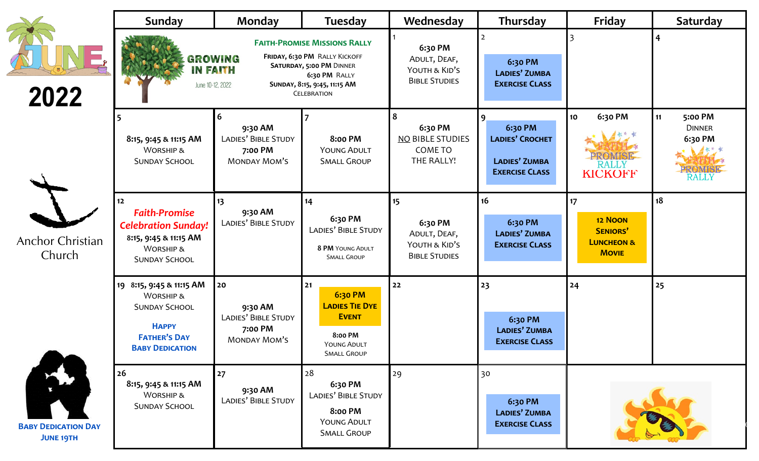|                                                                              | Sunday                                                                                                                                                                                                                                  | Monday                                                                 | <b>Tuesday</b>                                                                                                | Wednesday                                                              | Thursday                                                                         | Friday                                                                           | Saturday                                                            |
|------------------------------------------------------------------------------|-----------------------------------------------------------------------------------------------------------------------------------------------------------------------------------------------------------------------------------------|------------------------------------------------------------------------|---------------------------------------------------------------------------------------------------------------|------------------------------------------------------------------------|----------------------------------------------------------------------------------|----------------------------------------------------------------------------------|---------------------------------------------------------------------|
| 2022                                                                         | <b>FAITH-PROMISE MISSIONS RALLY</b><br>FRIDAY, 6:30 PM RALLY KICKOFF<br><b>GROWING</b><br><b>SATURDAY, 5:00 PM DINNER</b><br><b>IN FAITH</b><br>6:30 PM RALLY<br>June 10-12, 2022<br>SUNDAY, 8:15, 9:45, 11:15 AM<br><b>CELEBRATION</b> |                                                                        | 6:30 PM<br>ADULT, DEAF,<br>YOUTH & KID'S<br><b>BIBLE STUDIES</b>                                              | 6:30 PM<br><b>LADIES' ZUMBA</b><br><b>EXERCISE CLASS</b>               |                                                                                  |                                                                                  |                                                                     |
|                                                                              | 8:15, 9:45 & 11:15 AM<br><b>WORSHIP &amp;</b><br><b>SUNDAY SCHOOL</b>                                                                                                                                                                   | 6<br>9:30 AM<br>LADIES' BIBLE STUDY<br>7:00 PM<br><b>MONDAY MOM'S</b>  | <b>8:00 PM</b><br><b>YOUNG ADULT</b><br><b>SMALL GROUP</b>                                                    | 6:30 PM<br><b>NO BIBLE STUDIES</b><br>COME TO<br>THE RALLY!            | 9<br>6:30 PM<br><b>LADIES' CROCHET</b><br>LADIES' ZUMBA<br><b>EXERCISE CLASS</b> | 6:30 PM<br>10 <sub>o</sub><br><b>RALLY</b><br><b>KICKOFF</b>                     | 5:00 PM<br>11<br><b>DINNER</b><br>6:30 PM<br><b>ROMISE</b><br>RALLY |
| Anchor Christian<br>Church<br><b>BABY DEDICATION DAY</b><br><b>JUNE 19TH</b> | 12<br><b>Faith-Promise</b><br><b>Celebration Sunday!</b><br>8:15, 9:45 & 11:15 AM<br><b>WORSHIP &amp;</b><br><b>SUNDAY SCHOOL</b>                                                                                                       | 13<br>9:30 AM<br>LADIES' BIBLE STUDY                                   | 14<br>6:30 PM<br>LADIES' BIBLE STUDY<br>8 PM YOUNG ADULT<br><b>SMALL GROUP</b>                                | 15<br>6:30 PM<br>ADULT, DEAF,<br>YOUTH & KID'S<br><b>BIBLE STUDIES</b> | 16<br>6:30 PM<br><b>LADIES' ZUMBA</b><br><b>EXERCISE CLASS</b>                   | 17<br><b>12 NOON</b><br><b>SENIORS'</b><br><b>LUNCHEON &amp;</b><br><b>MOVIE</b> | 18                                                                  |
|                                                                              | 19 8:15, 9:45 & 11:15 AM<br><b>WORSHIP &amp;</b><br><b>SUNDAY SCHOOL</b><br><b>HAPPY</b><br><b>FATHER'S DAY</b><br><b>BABY DEDICATION</b>                                                                                               | 20<br>9:30 AM<br>LADIES' BIBLE STUDY<br>7:00 PM<br><b>MONDAY MOM'S</b> | 21<br>6:30 PM<br><b>LADIES TIE DYE</b><br><b>EVENT</b><br><b>8:00 PM</b><br>YOUNG ADULT<br><b>SMALL GROUP</b> | 22                                                                     | 23<br>6:30 PM<br><b>LADIES' ZUMBA</b><br><b>EXERCISE CLASS</b>                   | 24                                                                               | 25                                                                  |
|                                                                              | 26<br>8:15, 9:45 & 11:15 AM<br><b>WORSHIP &amp;</b><br><b>SUNDAY SCHOOL</b>                                                                                                                                                             | 27<br>9:30 AM<br>LADIES' BIBLE STUDY                                   | 28<br>6:30 PM<br>LADIES' BIBLE STUDY<br><b>8:00 PM</b><br><b>YOUNG ADULT</b><br><b>SMALL GROUP</b>            | 29                                                                     | 30<br>6:30 PM<br>LADIES' ZUMBA<br><b>EXERCISE CLASS</b>                          |                                                                                  |                                                                     |